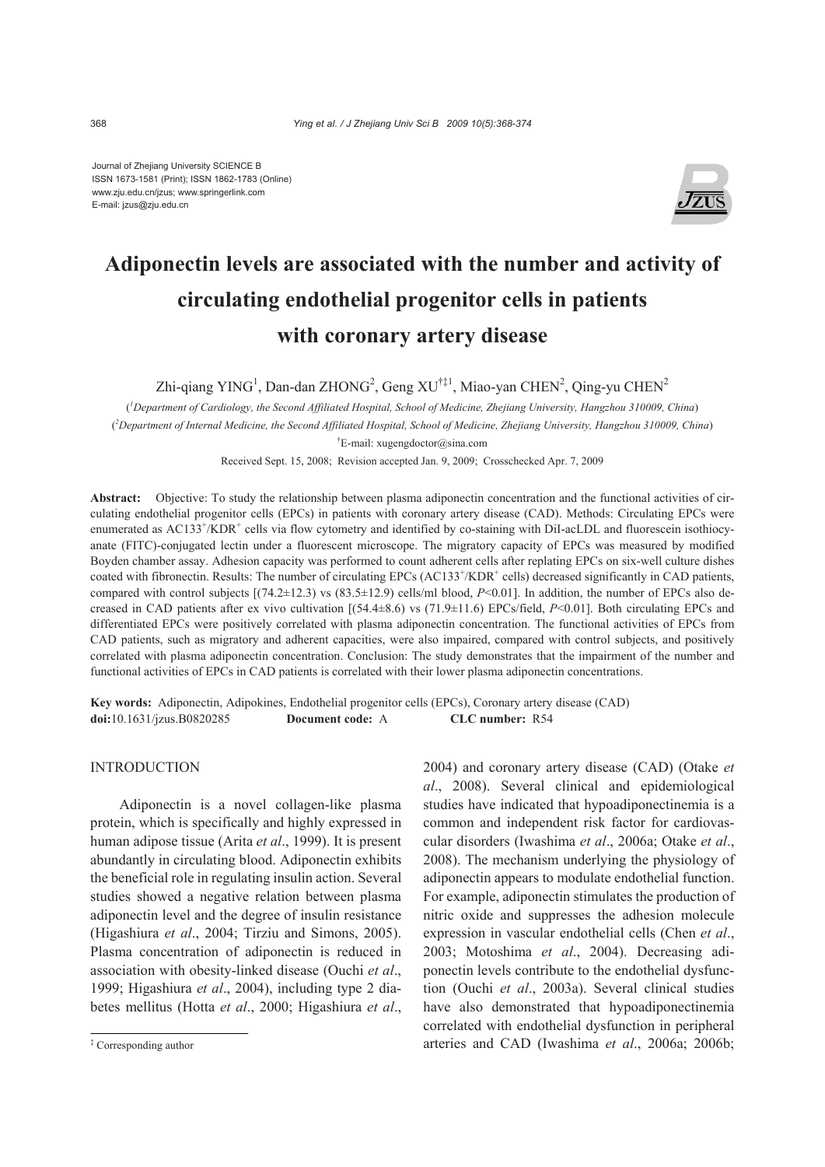Journal of Zhejiang University SCIENCE B ISSN 1673-1581 (Print); ISSN 1862-1783 (Online) www.zju.edu.cn/jzus; www.springerlink.com E-mail: jzus@zju.edu.cn



# **Adiponectin levels are associated with the number and activity of circulating endothelial progenitor cells in patients with coronary artery disease**

Zhi-qiang YING<sup>1</sup>, Dan-dan ZHONG<sup>2</sup>, Geng XU<sup>†‡1</sup>, Miao-yan CHEN<sup>2</sup>, Qing-yu CHEN<sup>2</sup>

( *1 Department of Cardiology, the Second Affiliated Hospital, School of Medicine, Zhejiang University, Hangzhou 310009, China*) ( *2 Department of Internal Medicine, the Second Affiliated Hospital, School of Medicine, Zhejiang University, Hangzhou 310009, China*) † E-mail: xugengdoctor@sina.com

Received Sept. 15, 2008; Revision accepted Jan. 9, 2009; Crosschecked Apr. 7, 2009

**Abstract:** Objective: To study the relationship between plasma adiponectin concentration and the functional activities of circulating endothelial progenitor cells (EPCs) in patients with coronary artery disease (CAD). Methods: Circulating EPCs were enumerated as AC133<sup>+</sup>/KDR<sup>+</sup> cells via flow cytometry and identified by co-staining with DiI-acLDL and fluorescein isothiocyanate (FITC)-conjugated lectin under a fluorescent microscope. The migratory capacity of EPCs was measured by modified Boyden chamber assay. Adhesion capacity was performed to count adherent cells after replating EPCs on six-well culture dishes coated with fibronectin. Results: The number of circulating EPCs (AC133<sup>+</sup>/KDR<sup>+</sup> cells) decreased significantly in CAD patients, compared with control subjects  $[(74.2\pm12.3)$  vs  $(83.5\pm12.9)$  cells/ml blood,  $P<0.01$ ]. In addition, the number of EPCs also decreased in CAD patients after ex vivo cultivation [(54.4±8.6) vs (71.9±11.6) EPCs/field, *P*<0.01]. Both circulating EPCs and differentiated EPCs were positively correlated with plasma adiponectin concentration. The functional activities of EPCs from CAD patients, such as migratory and adherent capacities, were also impaired, compared with control subjects, and positively correlated with plasma adiponectin concentration. Conclusion: The study demonstrates that the impairment of the number and functional activities of EPCs in CAD patients is correlated with their lower plasma adiponectin concentrations.

**Key words:** Adiponectin, Adipokines, Endothelial progenitor cells (EPCs), Coronary artery disease (CAD) **doi:**10.1631/jzus.B0820285 **Document code:** A **CLC number:** R54

# **INTRODUCTION**

Adiponectin is a novel collagen-like plasma protein, which is specifically and highly expressed in human adipose tissue (Arita *et al*., 1999). It is present abundantly in circulating blood. Adiponectin exhibits the beneficial role in regulating insulin action. Several studies showed a negative relation between plasma adiponectin level and the degree of insulin resistance (Higashiura *et al*., 2004; Tirziu and Simons, 2005). Plasma concentration of adiponectin is reduced in association with obesity-linked disease (Ouchi *et al*., 1999; Higashiura *et al*., 2004), including type 2 diabetes mellitus (Hotta *et al*., 2000; Higashiura *et al*.,

2004) and coronary artery disease (CAD) (Otake *et al*., 2008). Several clinical and epidemiological studies have indicated that hypoadiponectinemia is a common and independent risk factor for cardiovascular disorders (Iwashima *et al*., 2006a; Otake *et al*., 2008). The mechanism underlying the physiology of adiponectin appears to modulate endothelial function. For example, adiponectin stimulates the production of nitric oxide and suppresses the adhesion molecule expression in vascular endothelial cells (Chen *et al*., 2003; Motoshima *et al*., 2004). Decreasing adiponectin levels contribute to the endothelial dysfunction (Ouchi *et al*., 2003a). Several clinical studies have also demonstrated that hypoadiponectinemia correlated with endothelial dysfunction in peripheral arteries and CAD (Iwashima *et al*., 2006a; 2006b;

<sup>‡</sup> Corresponding author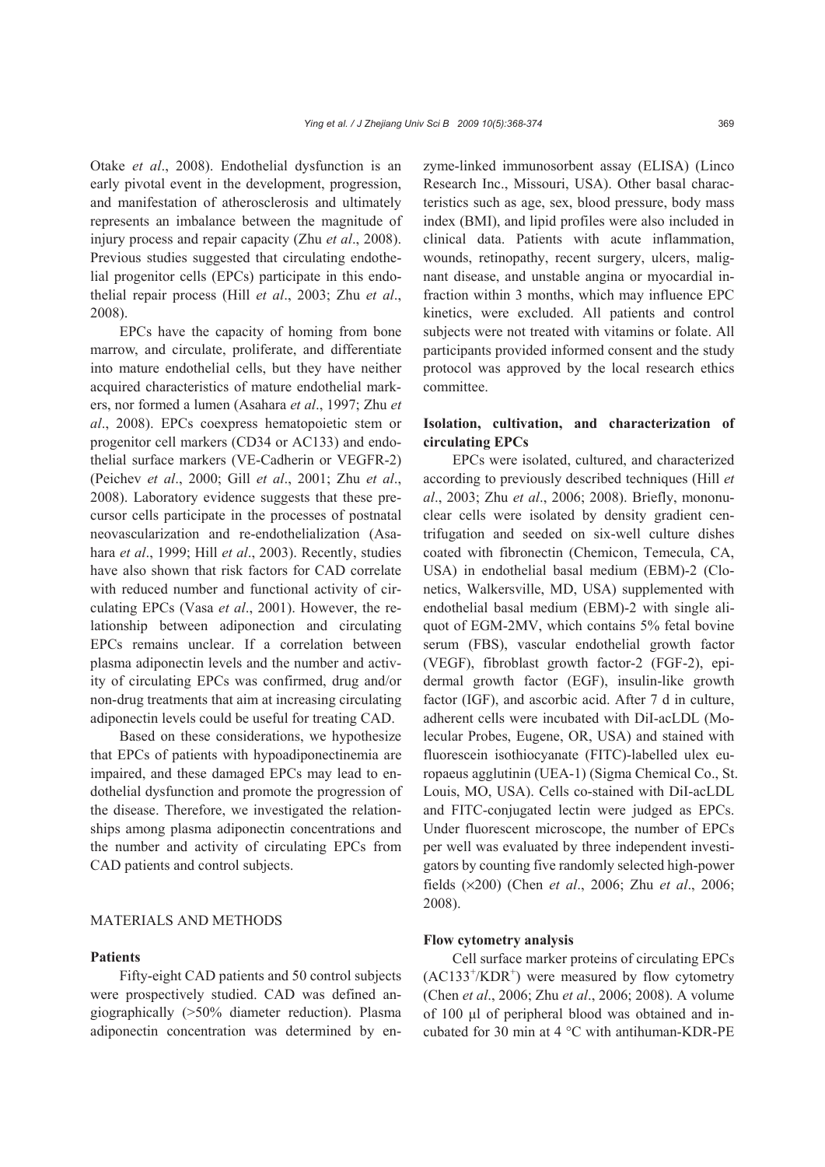Otake *et al*., 2008). Endothelial dysfunction is an early pivotal event in the development, progression, and manifestation of atherosclerosis and ultimately represents an imbalance between the magnitude of injury process and repair capacity (Zhu *et al*., 2008). Previous studies suggested that circulating endothelial progenitor cells (EPCs) participate in this endothelial repair process (Hill *et al*., 2003; Zhu *et al*., 2008).

EPCs have the capacity of homing from bone marrow, and circulate, proliferate, and differentiate into mature endothelial cells, but they have neither acquired characteristics of mature endothelial markers, nor formed a lumen (Asahara *et al*., 1997; Zhu *et al*., 2008). EPCs coexpress hematopoietic stem or progenitor cell markers (CD34 or AC133) and endothelial surface markers (VE-Cadherin or VEGFR-2) (Peichev *et al*., 2000; Gill *et al*., 2001; Zhu *et al*., 2008). Laboratory evidence suggests that these precursor cells participate in the processes of postnatal neovascularization and re-endothelialization (Asahara *et al*., 1999; Hill *et al*., 2003). Recently, studies have also shown that risk factors for CAD correlate with reduced number and functional activity of circulating EPCs (Vasa *et al*., 2001). However, the relationship between adiponection and circulating EPCs remains unclear. If a correlation between plasma adiponectin levels and the number and activity of circulating EPCs was confirmed, drug and/or non-drug treatments that aim at increasing circulating adiponectin levels could be useful for treating CAD.

Based on these considerations, we hypothesize that EPCs of patients with hypoadiponectinemia are impaired, and these damaged EPCs may lead to endothelial dysfunction and promote the progression of the disease. Therefore, we investigated the relationships among plasma adiponectin concentrations and the number and activity of circulating EPCs from CAD patients and control subjects.

## MATERIALS AND METHODS

#### **Patients**

Fifty-eight CAD patients and 50 control subjects were prospectively studied. CAD was defined angiographically (>50% diameter reduction). Plasma adiponectin concentration was determined by enzyme-linked immunosorbent assay (ELISA) (Linco Research Inc., Missouri, USA). Other basal characteristics such as age, sex, blood pressure, body mass index (BMI), and lipid profiles were also included in clinical data. Patients with acute inflammation, wounds, retinopathy, recent surgery, ulcers, malignant disease, and unstable angina or myocardial infraction within 3 months, which may influence EPC kinetics, were excluded. All patients and control subjects were not treated with vitamins or folate. All participants provided informed consent and the study protocol was approved by the local research ethics committee.

# **Isolation, cultivation, and characterization of circulating EPCs**

EPCs were isolated, cultured, and characterized according to previously described techniques (Hill *et al*., 2003; Zhu *et al*., 2006; 2008). Briefly, mononuclear cells were isolated by density gradient centrifugation and seeded on six-well culture dishes coated with fibronectin (Chemicon, Temecula, CA, USA) in endothelial basal medium (EBM)-2 (Clonetics, Walkersville, MD, USA) supplemented with endothelial basal medium (EBM)-2 with single aliquot of EGM-2MV, which contains 5% fetal bovine serum (FBS), vascular endothelial growth factor (VEGF), fibroblast growth factor-2 (FGF-2), epidermal growth factor (EGF), insulin-like growth factor (IGF), and ascorbic acid. After 7 d in culture, adherent cells were incubated with DiI-acLDL (Molecular Probes, Eugene, OR, USA) and stained with fluorescein isothiocyanate (FITC)-labelled ulex europaeus agglutinin (UEA-1) (Sigma Chemical Co., St. Louis, MO, USA). Cells co-stained with DiI-acLDL and FITC-conjugated lectin were judged as EPCs. Under fluorescent microscope, the number of EPCs per well was evaluated by three independent investigators by counting five randomly selected high-power fields (×200) (Chen *et al*., 2006; Zhu *et al*., 2006; 2008).

#### **Flow cytometry analysis**

Cell surface marker proteins of circulating EPCs  $(AC133<sup>+</sup>/KDR<sup>+</sup>)$  were measured by flow cytometry (Chen *et al*., 2006; Zhu *et al*., 2006; 2008). A volume of 100 μl of peripheral blood was obtained and incubated for 30 min at 4 °C with antihuman-KDR-PE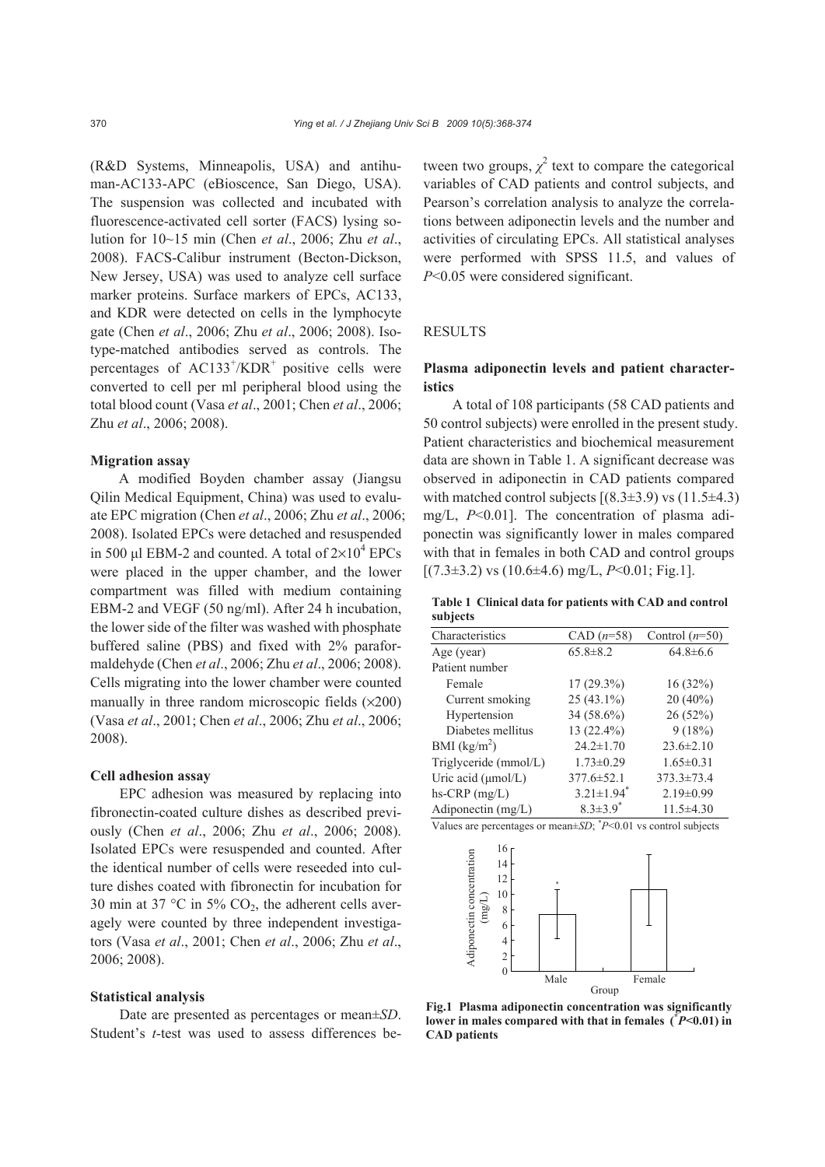(R&D Systems, Minneapolis, USA) and antihuman-AC133-APC (eBioscence, San Diego, USA). The suspension was collected and incubated with fluorescence-activated cell sorter (FACS) lysing solution for 10~15 min (Chen *et al*., 2006; Zhu *et al*., 2008). FACS-Calibur instrument (Becton-Dickson, New Jersey, USA) was used to analyze cell surface marker proteins. Surface markers of EPCs, AC133, and KDR were detected on cells in the lymphocyte gate (Chen *et al*., 2006; Zhu *et al*., 2006; 2008). Isotype-matched antibodies served as controls. The percentages of  $AC133^+/KDR^+$  positive cells were converted to cell per ml peripheral blood using the total blood count (Vasa *et al*., 2001; Chen *et al*., 2006; Zhu *et al*., 2006; 2008).

## **Migration assay**

A modified Boyden chamber assay (Jiangsu Qilin Medical Equipment, China) was used to evaluate EPC migration (Chen *et al*., 2006; Zhu *et al*., 2006; 2008). Isolated EPCs were detached and resuspended in 500 µl EBM-2 and counted. A total of  $2\times10^4$  EPCs were placed in the upper chamber, and the lower compartment was filled with medium containing EBM-2 and VEGF (50 ng/ml). After 24 h incubation, the lower side of the filter was washed with phosphate buffered saline (PBS) and fixed with 2% paraformaldehyde (Chen *et al*., 2006; Zhu *et al*., 2006; 2008). Cells migrating into the lower chamber were counted manually in three random microscopic fields  $(x200)$ (Vasa *et al*., 2001; Chen *et al*., 2006; Zhu *et al*., 2006; 2008).

#### **Cell adhesion assay**

EPC adhesion was measured by replacing into fibronectin-coated culture dishes as described previously (Chen *et al*., 2006; Zhu *et al*., 2006; 2008). Isolated EPCs were resuspended and counted. After the identical number of cells were reseeded into culture dishes coated with fibronectin for incubation for 30 min at 37 °C in 5%  $CO<sub>2</sub>$ , the adherent cells averagely were counted by three independent investigators (Vasa *et al*., 2001; Chen *et al*., 2006; Zhu *et al*., 2006; 2008).

#### **Statistical analysis**

Date are presented as percentages or mean±*SD*. Student's *t*-test was used to assess differences be-

tween two groups,  $\chi^2$  text to compare the categorical variables of CAD patients and control subjects, and Pearson's correlation analysis to analyze the correlations between adiponectin levels and the number and activities of circulating EPCs. All statistical analyses were performed with SPSS 11.5, and values of *P*<0.05 were considered significant.

## RESULTS

# **Plasma adiponectin levels and patient characteristics**

A total of 108 participants (58 CAD patients and 50 control subjects) were enrolled in the present study. Patient characteristics and biochemical measurement data are shown in Table 1. A significant decrease was observed in adiponectin in CAD patients compared with matched control subjects  $[(8.3\pm3.9) \text{ vs } (11.5\pm4.3)$ mg/L, *P*<0.01]. The concentration of plasma adiponectin was significantly lower in males compared with that in females in both CAD and control groups  $[(7.3\pm3.2) \text{ vs } (10.6\pm4.6) \text{ mg/L}, P<0.01; \text{Fig.1}].$ 

**Table 1 Clinical data for patients with CAD and control subjects**

| Characteristics         | $CAD (n=58)$                 | Control $(n=50)$ |
|-------------------------|------------------------------|------------------|
| Age (year)              | $65.8 \pm 8.2$               | $64.8 \pm 6.6$   |
| Patient number          |                              |                  |
| Female                  | $17(29.3\%)$                 | 16(32%)          |
| Current smoking         | $25(43.1\%)$                 | 20 (40%)         |
| Hypertension            | 34 (58.6%)                   | 26 (52%)         |
| Diabetes mellitus       | 13 (22.4%)                   | 9(18%)           |
| BMI $(kg/m^2)$          | $24.2 \pm 1.70$              | $23.6 \pm 2.10$  |
| Triglyceride (mmol/L)   | $1.73 \pm 0.29$              | $1.65 \pm 0.31$  |
| Uric acid $(\mu mol/L)$ | $377.6 \pm 52.1$             | $373.3 \pm 73.4$ |
| $hs-CRP$ (mg/L)         | $3.21 \pm 1.94$ <sup>*</sup> | $2.19 \pm 0.99$  |
| Adiponectin (mg/L)      | $8.3 \pm 3.9$ <sup>*</sup>   | $11.5\pm4.30$    |
|                         |                              |                  |

Values are percentages or mean±*SD*; \* *P*<0.01 vs control subjects



**Fig.1 Plasma adiponectin concentration was significantly lower in males compared with that in females (\*** *P***<0.01) in CAD patients**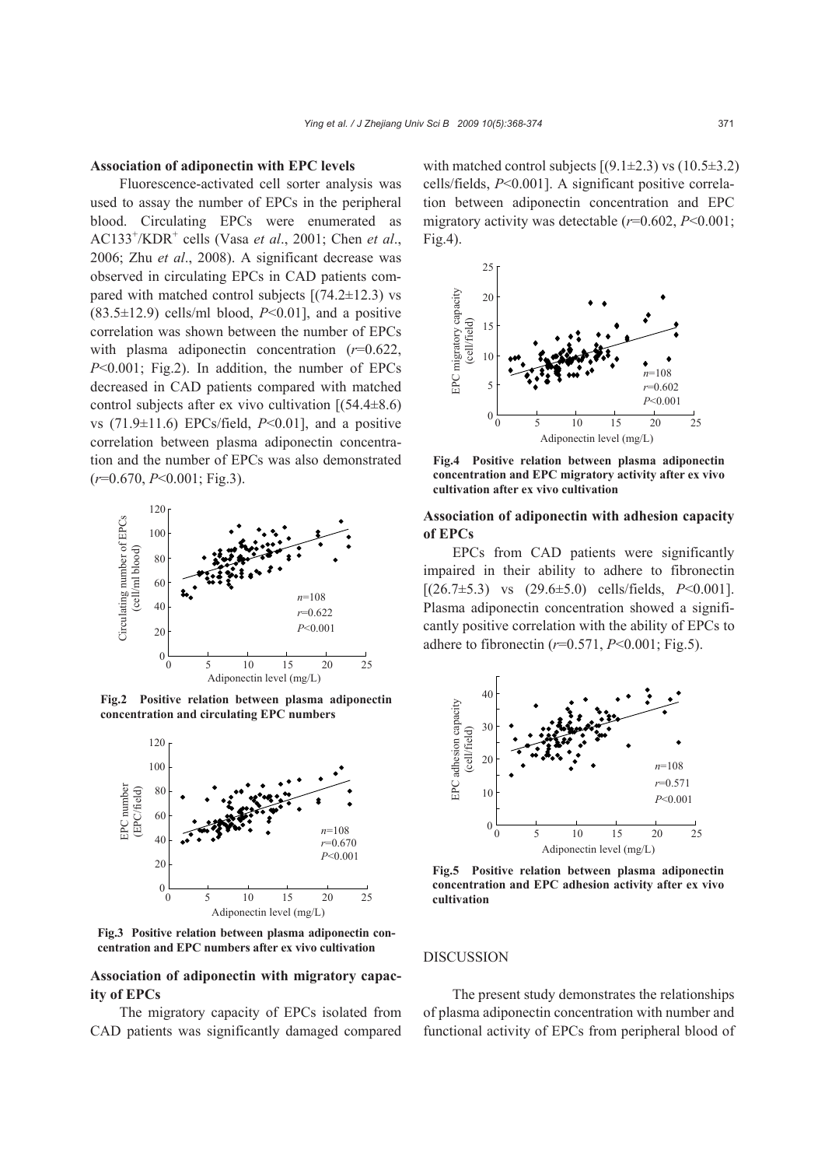#### **Association of adiponectin with EPC levels**

Fluorescence-activated cell sorter analysis was used to assay the number of EPCs in the peripheral blood. Circulating EPCs were enumerated as AC133+ /KDR+ cells (Vasa *et al*., 2001; Chen *et al*., 2006; Zhu *et al*., 2008). A significant decrease was observed in circulating EPCs in CAD patients compared with matched control subjects  $[(74.2 \pm 12.3)$  vs  $(83.5\pm12.9)$  cells/ml blood,  $P<0.01$ ], and a positive correlation was shown between the number of EPCs with plasma adiponectin concentration ( $r=0.622$ , *P*<0.001; Fig.2). In addition, the number of EPCs decreased in CAD patients compared with matched control subjects after ex vivo cultivation  $(54.4\pm8.6)$ vs (71.9±11.6) EPCs/field, *P*<0.01], and a positive correlation between plasma adiponectin concentration and the number of EPCs was also demonstrated (*r*=0.670, *P*<0.001; Fig.3).



**Fig.2 Positive relation between plasma adiponectin** 



**Fig.3 Positive relation between plasma adiponectin concentration and EPC numbers after ex vivo cultivation**

# **Association of adiponectin with migratory capacity of EPCs**

The migratory capacity of EPCs isolated from CAD patients was significantly damaged compared with matched control subjects  $[(9.1 \pm 2.3) \text{ vs } (10.5 \pm 3.2)$ cells/fields, *P*<0.001]. A significant positive correlation between adiponectin concentration and EPC migratory activity was detectable (*r*=0.602, *P*<0.001; Fig.4).



**Fig.4 Positive relation between plasma adiponectin concentration and EPC migratory activity after ex vivo** 

## **Association of adiponectin with adhesion capacity of EPCs**

EPCs from CAD patients were significantly impaired in their ability to adhere to fibronectin [(26.7±5.3) vs (29.6±5.0) cells/fields, *P*<0.001]. Plasma adiponectin concentration showed a significantly positive correlation with the ability of EPCs to adhere to fibronectin (*r*=0.571, *P*<0.001; Fig.5).



**Fig.5 Positive relation between plasma adiponectin concentration and EPC adhesion activity after ex vivo** 

### DISCUSSION

The present study demonstrates the relationships of plasma adiponectin concentration with number and functional activity of EPCs from peripheral blood of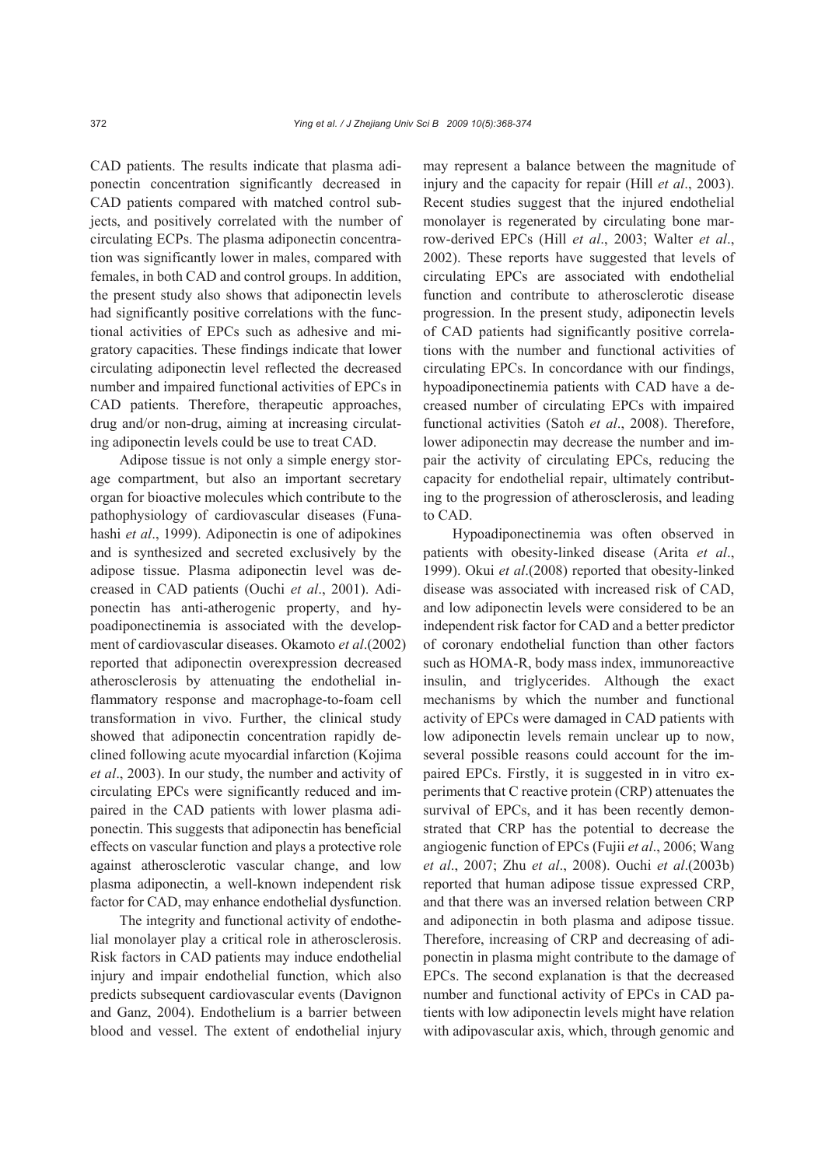CAD patients. The results indicate that plasma adiponectin concentration significantly decreased in CAD patients compared with matched control subjects, and positively correlated with the number of circulating ECPs. The plasma adiponectin concentration was significantly lower in males, compared with females, in both CAD and control groups. In addition, the present study also shows that adiponectin levels had significantly positive correlations with the functional activities of EPCs such as adhesive and migratory capacities. These findings indicate that lower circulating adiponectin level reflected the decreased number and impaired functional activities of EPCs in CAD patients. Therefore, therapeutic approaches, drug and/or non-drug, aiming at increasing circulating adiponectin levels could be use to treat CAD.

Adipose tissue is not only a simple energy storage compartment, but also an important secretary organ for bioactive molecules which contribute to the pathophysiology of cardiovascular diseases (Funahashi *et al*., 1999). Adiponectin is one of adipokines and is synthesized and secreted exclusively by the adipose tissue. Plasma adiponectin level was decreased in CAD patients (Ouchi *et al*., 2001). Adiponectin has anti-atherogenic property, and hypoadiponectinemia is associated with the development of cardiovascular diseases. Okamoto *et al*.(2002) reported that adiponectin overexpression decreased atherosclerosis by attenuating the endothelial inflammatory response and macrophage-to-foam cell transformation in vivo. Further, the clinical study showed that adiponectin concentration rapidly declined following acute myocardial infarction (Kojima *et al*., 2003). In our study, the number and activity of circulating EPCs were significantly reduced and impaired in the CAD patients with lower plasma adiponectin. This suggests that adiponectin has beneficial effects on vascular function and plays a protective role against atherosclerotic vascular change, and low plasma adiponectin, a well-known independent risk factor for CAD, may enhance endothelial dysfunction.

The integrity and functional activity of endothelial monolayer play a critical role in atherosclerosis. Risk factors in CAD patients may induce endothelial injury and impair endothelial function, which also predicts subsequent cardiovascular events (Davignon and Ganz, 2004). Endothelium is a barrier between blood and vessel. The extent of endothelial injury

may represent a balance between the magnitude of injury and the capacity for repair (Hill *et al*., 2003). Recent studies suggest that the injured endothelial monolayer is regenerated by circulating bone marrow-derived EPCs (Hill *et al*., 2003; Walter *et al*., 2002). These reports have suggested that levels of circulating EPCs are associated with endothelial function and contribute to atherosclerotic disease progression. In the present study, adiponectin levels of CAD patients had significantly positive correlations with the number and functional activities of circulating EPCs. In concordance with our findings, hypoadiponectinemia patients with CAD have a decreased number of circulating EPCs with impaired functional activities (Satoh *et al*., 2008). Therefore, lower adiponectin may decrease the number and impair the activity of circulating EPCs, reducing the capacity for endothelial repair, ultimately contributing to the progression of atherosclerosis, and leading to CAD.

Hypoadiponectinemia was often observed in patients with obesity-linked disease (Arita *et al*., 1999). Okui *et al*.(2008) reported that obesity-linked disease was associated with increased risk of CAD, and low adiponectin levels were considered to be an independent risk factor for CAD and a better predictor of coronary endothelial function than other factors such as HOMA-R, body mass index, immunoreactive insulin, and triglycerides. Although the exact mechanisms by which the number and functional activity of EPCs were damaged in CAD patients with low adiponectin levels remain unclear up to now, several possible reasons could account for the impaired EPCs. Firstly, it is suggested in in vitro experiments that C reactive protein (CRP) attenuates the survival of EPCs, and it has been recently demonstrated that CRP has the potential to decrease the angiogenic function of EPCs (Fujii *et al*., 2006; Wang *et al*., 2007; Zhu *et al*., 2008). Ouchi *et al*.(2003b) reported that human adipose tissue expressed CRP, and that there was an inversed relation between CRP and adiponectin in both plasma and adipose tissue. Therefore, increasing of CRP and decreasing of adiponectin in plasma might contribute to the damage of EPCs. The second explanation is that the decreased number and functional activity of EPCs in CAD patients with low adiponectin levels might have relation with adipovascular axis, which, through genomic and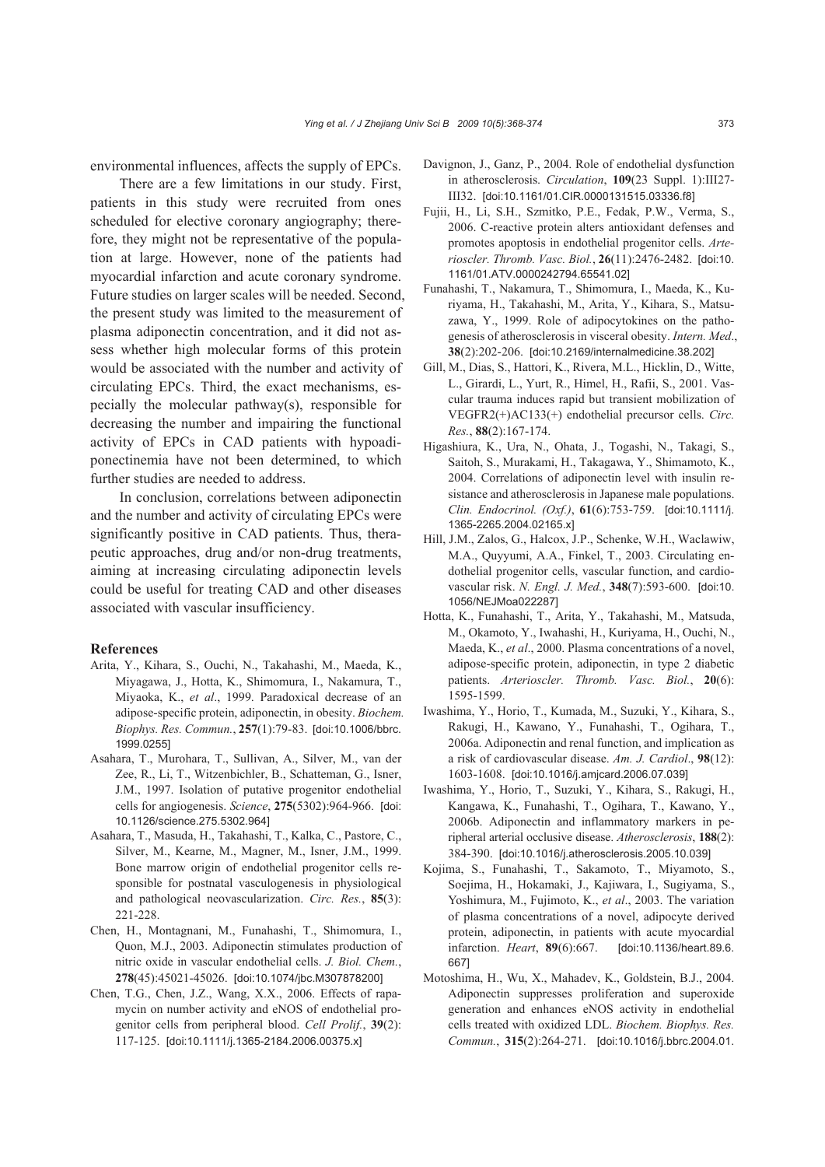environmental influences, affects the supply of EPCs.

There are a few limitations in our study. First, patients in this study were recruited from ones scheduled for elective coronary angiography; therefore, they might not be representative of the population at large. However, none of the patients had myocardial infarction and acute coronary syndrome. Future studies on larger scales will be needed. Second, the present study was limited to the measurement of plasma adiponectin concentration, and it did not assess whether high molecular forms of this protein would be associated with the number and activity of circulating EPCs. Third, the exact mechanisms, especially the molecular pathway(s), responsible for decreasing the number and impairing the functional activity of EPCs in CAD patients with hypoadiponectinemia have not been determined, to which further studies are needed to address.

In conclusion, correlations between adiponectin and the number and activity of circulating EPCs were significantly positive in CAD patients. Thus, therapeutic approaches, drug and/or non-drug treatments, aiming at increasing circulating adiponectin levels could be useful for treating CAD and other diseases associated with vascular insufficiency.

#### **References**

- Arita, Y., Kihara, S., Ouchi, N., Takahashi, M., Maeda, K., Miyagawa, J., Hotta, K., Shimomura, I., Nakamura, T., Miyaoka, K., *et al*., 1999. Paradoxical decrease of an adipose-specific protein, adiponectin, in obesity. *Biochem. Biophys. Res. Commun.*, **257**(1):79-83. [doi:10.1006/bbrc. 1999.0255]
- Asahara, T., Murohara, T., Sullivan, A., Silver, M., van der Zee, R., Li, T., Witzenbichler, B., Schatteman, G., Isner, J.M., 1997. Isolation of putative progenitor endothelial cells for angiogenesis. *Science*, **275**(5302):964-966. [doi: 10.1126/science.275.5302.964]
- Asahara, T., Masuda, H., Takahashi, T., Kalka, C., Pastore, C., Silver, M., Kearne, M., Magner, M., Isner, J.M., 1999. Bone marrow origin of endothelial progenitor cells responsible for postnatal vasculogenesis in physiological and pathological neovascularization. *Circ. Res.*, **85**(3): 221-228.
- Chen, H., Montagnani, M., Funahashi, T., Shimomura, I., Quon, M.J., 2003. Adiponectin stimulates production of nitric oxide in vascular endothelial cells. *J. Biol. Chem.*, **278**(45):45021-45026. [doi:10.1074/jbc.M307878200]
- Chen, T.G., Chen, J.Z., Wang, X.X., 2006. Effects of rapamycin on number activity and eNOS of endothelial progenitor cells from peripheral blood. *Cell Prolif.*, **39**(2): 117-125. [doi:10.1111/j.1365-2184.2006.00375.x]
- Davignon, J., Ganz, P., 2004. Role of endothelial dysfunction in atherosclerosis. *Circulation*, **109**(23 Suppl. 1):III27- III32. [doi:10.1161/01.CIR.0000131515.03336.f8]
- Fujii, H., Li, S.H., Szmitko, P.E., Fedak, P.W., Verma, S., 2006. C-reactive protein alters antioxidant defenses and promotes apoptosis in endothelial progenitor cells. *Arterioscler. Thromb. Vasc. Biol.*, **26**(11):2476-2482. [doi:10. 1161/01.ATV.0000242794.65541.02]
- Funahashi, T., Nakamura, T., Shimomura, I., Maeda, K., Kuriyama, H., Takahashi, M., Arita, Y., Kihara, S., Matsuzawa, Y., 1999. Role of adipocytokines on the pathogenesis of atherosclerosis in visceral obesity. *Intern. Med*., **38**(2):202-206. [doi:10.2169/internalmedicine.38.202]
- Gill, M., Dias, S., Hattori, K., Rivera, M.L., Hicklin, D., Witte, L., Girardi, L., Yurt, R., Himel, H., Rafii, S., 2001. Vascular trauma induces rapid but transient mobilization of VEGFR2(+)AC133(+) endothelial precursor cells. *Circ. Res.*, **88**(2):167-174.
- Higashiura, K., Ura, N., Ohata, J., Togashi, N., Takagi, S., Saitoh, S., Murakami, H., Takagawa, Y., Shimamoto, K., 2004. Correlations of adiponectin level with insulin resistance and atherosclerosis in Japanese male populations. *Clin. Endocrinol. (Oxf.)*, **61**(6):753-759. [doi:10.1111/j. 1365-2265.2004.02165.x]
- Hill, J.M., Zalos, G., Halcox, J.P., Schenke, W.H., Waclawiw, M.A., Quyyumi, A.A., Finkel, T., 2003. Circulating endothelial progenitor cells, vascular function, and cardiovascular risk. *N. Engl. J. Med.*, **348**(7):593-600. [doi:10. 1056/NEJMoa022287]
- Hotta, K., Funahashi, T., Arita, Y., Takahashi, M., Matsuda, M., Okamoto, Y., Iwahashi, H., Kuriyama, H., Ouchi, N., Maeda, K., *et al*., 2000. Plasma concentrations of a novel, adipose-specific protein, adiponectin, in type 2 diabetic patients. *Arterioscler. Thromb. Vasc. Biol.*, **20**(6): 1595-1599.
- Iwashima, Y., Horio, T., Kumada, M., Suzuki, Y., Kihara, S., Rakugi, H., Kawano, Y., Funahashi, T., Ogihara, T., 2006a. Adiponectin and renal function, and implication as a risk of cardiovascular disease. *Am. J. Cardiol*., **98**(12): 1603-1608. [doi:10.1016/j.amjcard.2006.07.039]
- Iwashima, Y., Horio, T., Suzuki, Y., Kihara, S., Rakugi, H., Kangawa, K., Funahashi, T., Ogihara, T., Kawano, Y., 2006b. Adiponectin and inflammatory markers in peripheral arterial occlusive disease. *Atherosclerosis*, **188**(2): 384-390. [doi:10.1016/j.atherosclerosis.2005.10.039]
- Kojima, S., Funahashi, T., Sakamoto, T., Miyamoto, S., Soejima, H., Hokamaki, J., Kajiwara, I., Sugiyama, S., Yoshimura, M., Fujimoto, K., *et al*., 2003. The variation of plasma concentrations of a novel, adipocyte derived protein, adiponectin, in patients with acute myocardial infarction. *Heart*, **89**(6):667. [doi:10.1136/heart.89.6. 667]
- Motoshima, H., Wu, X., Mahadev, K., Goldstein, B.J., 2004. Adiponectin suppresses proliferation and superoxide generation and enhances eNOS activity in endothelial cells treated with oxidized LDL. *Biochem. Biophys. Res. Commun.*, **315**(2):264-271. [doi:10.1016/j.bbrc.2004.01.